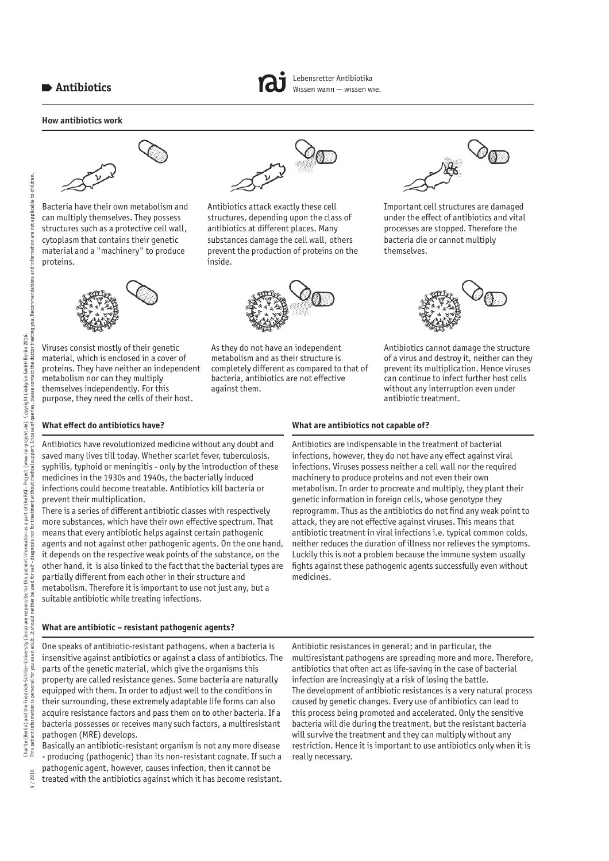## **How antibiotics work**



children



Bacteria have their own metabolism and can multiply themselves. They possess structures such as a protective cell wall, cytoplasm that contains their genetic material and a "machinery" to produce proteins.



Viruses consist mostly of their genetic material, which is enclosed in a cover of proteins. They have neither an independent metabolism nor can they multiply themselves independently. For this purpose, they need the cells of their host.



Lebensretter Antibiotika Wissen wann — wissen wie.

Antibiotics attack exactly these cell structures, depending upon the class of antibiotics at different places. Many substances damage the cell wall, others prevent the production of proteins on the inside.



As they do not have an independent metabolism and as their structure is completely different as compared to that of bacteria, antibiotics are not effective against them.



Important cell structures are damaged under the effect of antibiotics and vital processes are stopped. Therefore the bacteria die or cannot multiply themselves.



Antibiotics cannot damage the structure of a virus and destroy it, neither can they prevent its multiplication. Hence viruses can continue to infect further host cells without any interruption even under antibiotic treatment.

### **What effect do antibiotics have?**

Antibiotics have revolutionized medicine without any doubt and saved many lives till today. Whether scarlet fever, tuberculosis, syphilis, typhoid or meningitis - only by the introduction of these medicines in the 1930s and 1940s, the bacterially induced infections could become treatable. Antibiotics kill bacteria or prevent their multiplication.

There is a series of different antibiotic classes with respectively more substances, which have their own effective spectrum. That means that every antibiotic helps against certain pathogenic agents and not against other pathogenic agents. On the one hand, it depends on the respective weak points of the substance, on the other hand, it is also linked to the fact that the bacterial types are partially different from each other in their structure and metabolism. Therefore it is important to use not just any, but a suitable antibiotic while treating infections.

### **What are antibiotic – resistant pathogenic agents?**

One speaks of antibiotic-resistant pathogens, when a bacteria is insensitive against antibiotics or against a class of antibiotics. The parts of the genetic material, which give the organisms this property are called resistance genes. Some bacteria are naturally equipped with them. In order to adjust well to the conditions in their surrounding, these extremely adaptable life forms can also acquire resistance factors and pass them on to other bacteria. If a bacteria possesses or receives many such factors, a multiresistant pathogen (MRE) develops.

Basically an antibiotic-resistant organism is not any more disease - producing (pathogenic) than its non-resistant cognate. If such a pathogenic agent, however, causes infection, then it cannot be

treated with the antibiotics against which it has become resistant.

**What are antibiotics not capable of?** 

Antibiotics are indispensable in the treatment of bacterial infections, however, they do not have any effect against viral infections. Viruses possess neither a cell wall nor the required machinery to produce proteins and not even their own metabolism. In order to procreate and multiply, they plant their genetic information in foreign cells, whose genotype they reprogramm. Thus as the antibiotics do not find any weak point to attack, they are not effective against viruses. This means that antibiotic treatment in viral infections i.e. typical common colds, neither reduces the duration of illness nor relieves the symptoms. Luckily this is not a problem because the immune system usually fights against these pathogenic agents successfully even without medicines.

Antibiotic resistances in general; and in particular, the multiresistant pathogens are spreading more and more. Therefore, antibiotics that often act as life-saving in the case of bacterial infection are increasingly at a risk of losing the battle. The development of antibiotic resistances is a very natural process caused by genetic changes. Every use of antibiotics can lead to this process being promoted and accelerated. Only the sensitive bacteria will die during the treatment, but the resistant bacteria will survive the treatment and they can multiply without any restriction. Hence it is important to use antibiotics only when it is really necessary.